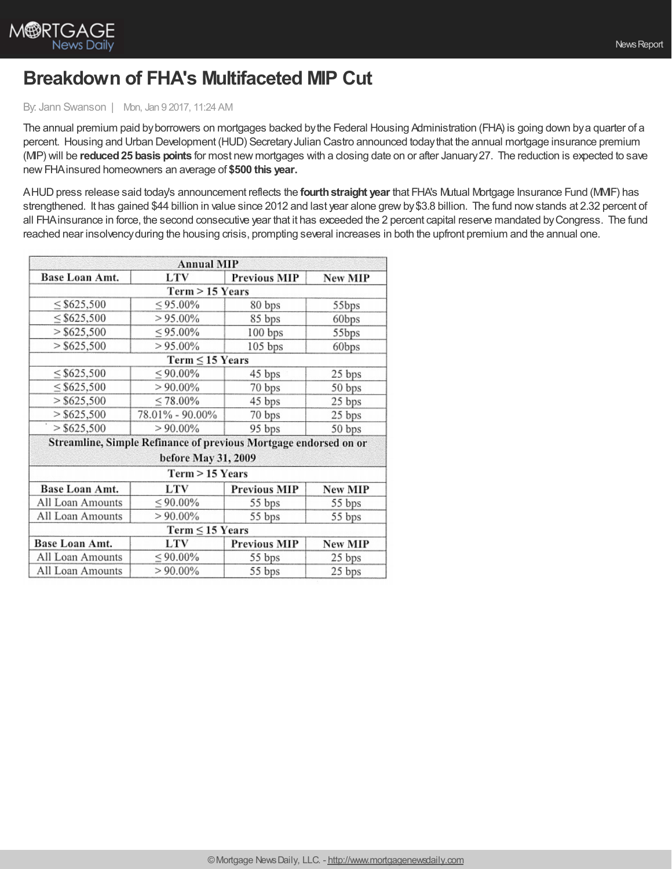

## **Breakdown of FHA's Multifaceted MIP Cut**

## By: Jann Swanson | Mon, Jan 9 2017, 11:24 AM

The annual premium paid byborrowers on mortgages backed bythe Federal Housing Administration (FHA) is going down bya quarter of a percent. Housing and Urban Development (HUD) Secretary Julian Castro announced today that the annual mortgage insurance premium (MIP) will be **reduced25 basis points** for most new mortgages with a closing date on or after January27. The reduction is expected to save newFHAinsured homeowners an average of **\$500 this year.**

AHUDpress release said today's announcement reflects the **fourthstraight year** that FHA's Mutual Mortgage Insurance Fund (MMIF) has strengthened. It has gained \$44 billion in value since 2012 and last year alone grewby\$3.8 billion. The fund nowstands at 2.32 percent of all FHAinsurance in force, the second consecutive year that it has exceeded the 2 percent capital reserve mandated byCongress. The fund reached near insolvencyduring the housing crisis, prompting several increases in both the upfront premium and the annual one.

|                           | <b>Annual MIP</b>                                                |                     |                |
|---------------------------|------------------------------------------------------------------|---------------------|----------------|
| Base Loan Amt.            | <b>LTV</b>                                                       | <b>Previous MIP</b> | New MIP        |
|                           | $Term > 15$ Years                                                |                     |                |
| $\leq$ \$625,500          | $\leq 95.00\%$                                                   | 80 bps              | 55bps          |
| $\leq$ \$625,500          | $> 95.00\%$<br>$\leq 95.00\%$                                    | 85 bps<br>100 bps   | 60bps<br>55bps |
| $>$ \$625,500             |                                                                  |                     |                |
| $>$ \$625,500             | $> 95.00\%$                                                      | 105 bps             | 60bps          |
|                           | $Term \leq 15$ Years                                             |                     |                |
| $\leq$ \$625,500          | $\leq 90.00\%$                                                   | 45 bps              | 25 bps         |
| $\leq$ \$625,500          | $> 90.00\%$                                                      | 70 bps              | 50 bps         |
| $>$ \$625,500             | $\leq 78.00\%$                                                   | 45 bps              | 25 bps         |
| $>$ \$625,500             | 78.01% - 90.00%                                                  | 70 bps              | 25 bps         |
| $\frac{1}{5}$ > \$625,500 | $> 90.00\%$                                                      | 95 bps              | 50 bps         |
|                           | Streamline, Simple Refinance of previous Mortgage endorsed on or |                     |                |
|                           | before May 31, 2009                                              |                     |                |
|                           | Term > 15 Years                                                  |                     |                |
| Base Loan Amt.            | LTV                                                              | <b>Previous MIP</b> | New MIP        |
| All Loan Amounts          | $\leq 90.00\%$                                                   | 55 bps              | 55 bps         |
| All Loan Amounts          | $> 90.00\%$                                                      | 55 bps              | 55 bps         |
|                           | $Term \leq 15$ Years                                             |                     |                |
| Base Loan Amt.            | LTV                                                              | <b>Previous MIP</b> | <b>New MIP</b> |
| All Loan Amounts          | $\leq 90.00\%$                                                   | 55 bps              | 25 bps         |
| All Loan Amounts          | $> 90.00\%$                                                      | 55 bps              | 25 bps         |